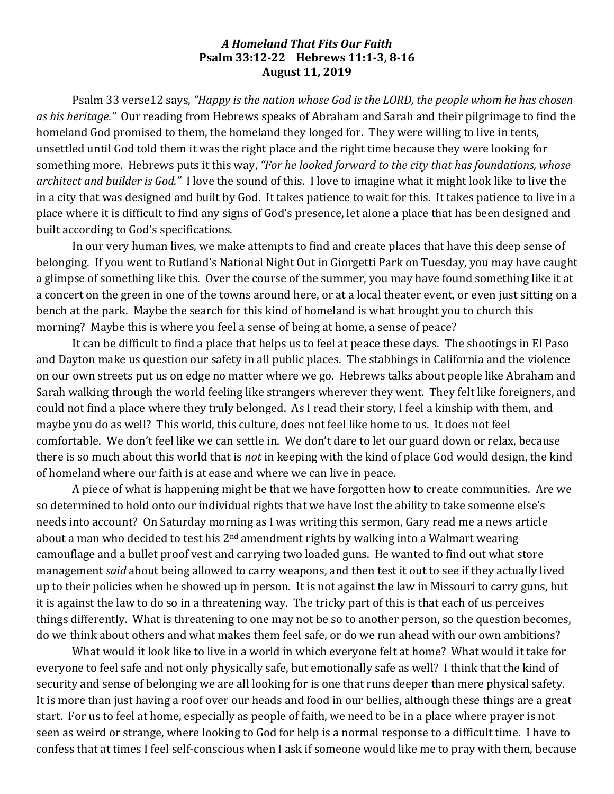## *A Homeland That Fits Our Faith* **Psalm 33:12-22** Hebrews 11:1-3, 8-16 **August 11, 2019**

Psalm 33 verse12 says, "Happy is the nation whose God is the LORD, the people whom he has chosen as his heritage." Our reading from Hebrews speaks of Abraham and Sarah and their pilgrimage to find the homeland God promised to them, the homeland they longed for. They were willing to live in tents, unsettled until God told them it was the right place and the right time because they were looking for something more. Hebrews puts it this way, "For he looked forward to the city that has foundations, whose *architect and builder is God.*" I love the sound of this. I love to imagine what it might look like to live the in a city that was designed and built by God. It takes patience to wait for this. It takes patience to live in a place where it is difficult to find any signs of God's presence, let alone a place that has been designed and built according to God's specifications.

In our very human lives, we make attempts to find and create places that have this deep sense of belonging. If you went to Rutland's National Night Out in Giorgetti Park on Tuesday, you may have caught a glimpse of something like this. Over the course of the summer, you may have found something like it at a concert on the green in one of the towns around here, or at a local theater event, or even just sitting on a bench at the park. Maybe the search for this kind of homeland is what brought you to church this morning? Maybe this is where you feel a sense of being at home, a sense of peace?

It can be difficult to find a place that helps us to feel at peace these days. The shootings in El Paso and Dayton make us question our safety in all public places. The stabbings in California and the violence on our own streets put us on edge no matter where we go. Hebrews talks about people like Abraham and Sarah walking through the world feeling like strangers wherever they went. They felt like foreigners, and could not find a place where they truly belonged. As I read their story, I feel a kinship with them, and maybe you do as well? This world, this culture, does not feel like home to us. It does not feel comfortable. We don't feel like we can settle in. We don't dare to let our guard down or relax, because there is so much about this world that is *not* in keeping with the kind of place God would design, the kind of homeland where our faith is at ease and where we can live in peace.

A piece of what is happening might be that we have forgotten how to create communities. Are we so determined to hold onto our individual rights that we have lost the ability to take someone else's needs into account? On Saturday morning as I was writing this sermon, Gary read me a news article about a man who decided to test his  $2<sup>nd</sup>$  amendment rights by walking into a Walmart wearing camouflage and a bullet proof vest and carrying two loaded guns. He wanted to find out what store management *said* about being allowed to carry weapons, and then test it out to see if they actually lived up to their policies when he showed up in person. It is not against the law in Missouri to carry guns, but it is against the law to do so in a threatening way. The tricky part of this is that each of us perceives things differently. What is threatening to one may not be so to another person, so the question becomes, do we think about others and what makes them feel safe, or do we run ahead with our own ambitions?

What would it look like to live in a world in which everyone felt at home? What would it take for everyone to feel safe and not only physically safe, but emotionally safe as well? I think that the kind of security and sense of belonging we are all looking for is one that runs deeper than mere physical safety. It is more than just having a roof over our heads and food in our bellies, although these things are a great start. For us to feel at home, especially as people of faith, we need to be in a place where prayer is not seen as weird or strange, where looking to God for help is a normal response to a difficult time. I have to confess that at times I feel self-conscious when I ask if someone would like me to pray with them, because